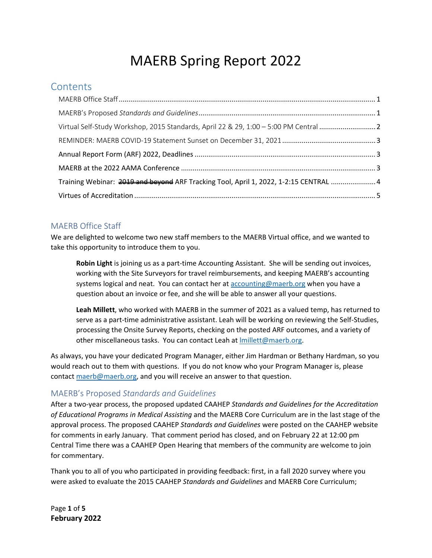# MAERB Spring Report 2022

## **Contents**

| Training Webinar: 2019 and beyond ARF Tracking Tool, April 1, 2022, 1-2:15 CENTRAL  4 |  |
|---------------------------------------------------------------------------------------|--|
|                                                                                       |  |

### <span id="page-0-0"></span>MAERB Office Staff

We are delighted to welcome two new staff members to the MAERB Virtual office, and we wanted to take this opportunity to introduce them to you.

**Robin Light** is joining us as a part-time Accounting Assistant. She will be sending out invoices, working with the Site Surveyors for travel reimbursements, and keeping MAERB's accounting systems logical and neat. You can contact her at [accounting@maerb.org](mailto:accounting@maerb.org) when you have a question about an invoice or fee, and she will be able to answer all your questions.

**Leah Millett**, who worked with MAERB in the summer of 2021 as a valued temp, has returned to serve as a part-time administrative assistant. Leah will be working on reviewing the Self-Studies, processing the Onsite Survey Reports, checking on the posted ARF outcomes, and a variety of other miscellaneous tasks. You can contact Leah at Imillett@maerb.org.

As always, you have your dedicated Program Manager, either Jim Hardman or Bethany Hardman, so you would reach out to them with questions. If you do not know who your Program Manager is, please contact [maerb@maerb.org,](mailto:maerb@maerb.org) and you will receive an answer to that question.

#### <span id="page-0-1"></span>MAERB's Proposed *Standards and Guidelines*

After a two-year process, the proposed updated CAAHEP *Standards and Guidelines for the Accreditation of Educational Programs in Medical Assisting* and the MAERB Core Curriculum are in the last stage of the approval process. The proposed CAAHEP *Standards and Guidelines* were posted on the CAAHEP website for comments in early January. That comment period has closed, and on February 22 at 12:00 pm Central Time there was a CAAHEP Open Hearing that members of the community are welcome to join for commentary.

Thank you to all of you who participated in providing feedback: first, in a fall 2020 survey where you were asked to evaluate the 2015 CAAHEP *Standards and Guidelines* and MAERB Core Curriculum;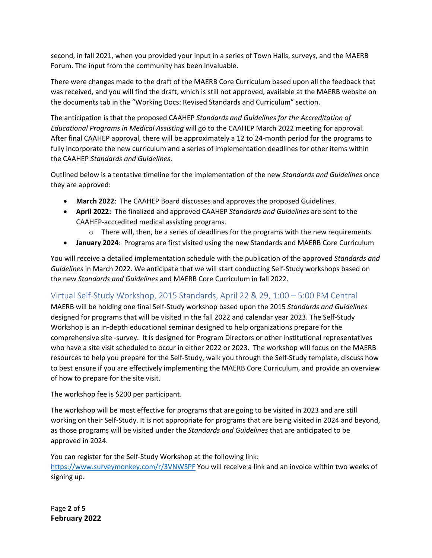second, in fall 2021, when you provided your input in a series of Town Halls, surveys, and the MAERB Forum. The input from the community has been invaluable.

There were changes made to the draft of the MAERB Core Curriculum based upon all the feedback that was received, and you will find the draft, which is still not approved, available at the MAERB website on the documents tab in the "Working Docs: Revised Standards and Curriculum" section.

The anticipation is that the proposed CAAHEP *Standards and Guidelines for the Accreditation of Educational Programs in Medical Assisting* will go to the CAAHEP March 2022 meeting for approval. After final CAAHEP approval, there will be approximately a 12 to 24-month period for the programs to fully incorporate the new curriculum and a series of implementation deadlines for other items within the CAAHEP *Standards and Guidelines*.

Outlined below is a tentative timeline for the implementation of the new *Standards and Guidelines* once they are approved:

- **March 2022**: The CAAHEP Board discusses and approves the proposed Guidelines.
- **April 2022:** The finalized and approved CAAHEP *Standards and Guidelines* are sent to the CAAHEP-accredited medical assisting programs.
	- $\circ$  There will, then, be a series of deadlines for the programs with the new requirements.
- **January 2024**: Programs are first visited using the new Standards and MAERB Core Curriculum

You will receive a detailed implementation schedule with the publication of the approved *Standards and Guidelines* in March 2022. We anticipate that we will start conducting Self-Study workshops based on the new *Standards and Guidelines* and MAERB Core Curriculum in fall 2022.

### <span id="page-1-0"></span>Virtual Self-Study Workshop, 2015 Standards, April 22 & 29, 1:00 – 5:00 PM Central

MAERB will be holding one final Self-Study workshop based upon the 2015 *Standards and Guidelines* designed for programs that will be visited in the fall 2022 and calendar year 2023. The Self-Study Workshop is an in-depth educational seminar designed to help organizations prepare for the comprehensive site -survey. It is designed for Program Directors or other institutional representatives who have a site visit scheduled to occur in either 2022 or 2023. The workshop will focus on the MAERB resources to help you prepare for the Self-Study, walk you through the Self-Study template, discuss how to best ensure if you are effectively implementing the MAERB Core Curriculum, and provide an overview of how to prepare for the site visit.

The workshop fee is \$200 per participant.

The workshop will be most effective for programs that are going to be visited in 2023 and are still working on their Self-Study. It is not appropriate for programs that are being visited in 2024 and beyond, as those programs will be visited under the *Standards and Guidelines* that are anticipated to be approved in 2024.

You can register for the Self-Study Workshop at the following link: <https://www.surveymonkey.com/r/3VNWSPF> You will receive a link and an invoice within two weeks of signing up.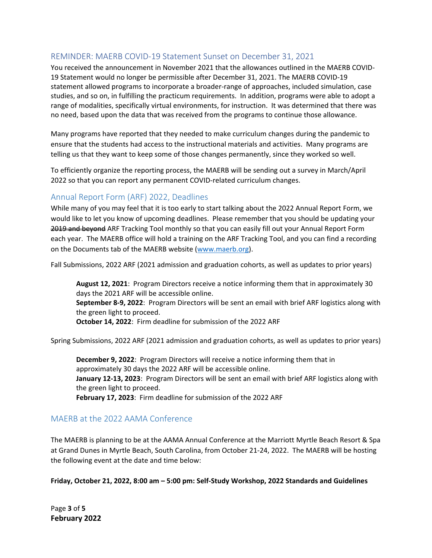#### <span id="page-2-0"></span>REMINDER: MAERB COVID-19 Statement Sunset on December 31, 2021

You received the announcement in November 2021 that the allowances outlined in the MAERB COVID-19 Statement would no longer be permissible after December 31, 2021. The MAERB COVID-19 statement allowed programs to incorporate a broader-range of approaches, included simulation, case studies, and so on, in fulfilling the practicum requirements. In addition, programs were able to adopt a range of modalities, specifically virtual environments, for instruction. It was determined that there was no need, based upon the data that was received from the programs to continue those allowance.

Many programs have reported that they needed to make curriculum changes during the pandemic to ensure that the students had access to the instructional materials and activities. Many programs are telling us that they want to keep some of those changes permanently, since they worked so well.

To efficiently organize the reporting process, the MAERB will be sending out a survey in March/April 2022 so that you can report any permanent COVID-related curriculum changes.

#### <span id="page-2-1"></span>Annual Report Form (ARF) 2022, Deadlines

While many of you may feel that it is too early to start talking about the 2022 Annual Report Form, we would like to let you know of upcoming deadlines. Please remember that you should be updating your 2019 and beyond ARF Tracking Tool monthly so that you can easily fill out your Annual Report Form each year. The MAERB office will hold a training on the ARF Tracking Tool, and you can find a recording on the Documents tab of the MAERB website [\(www.maerb.org\)](http://www.maerb.org/).

Fall Submissions, 2022 ARF (2021 admission and graduation cohorts, as well as updates to prior years)

**August 12, 2021**: Program Directors receive a notice informing them that in approximately 30 days the 2021 ARF will be accessible online.

**September 8-9, 2022**: Program Directors will be sent an email with brief ARF logistics along with the green light to proceed.

**October 14, 2022**: Firm deadline for submission of the 2022 ARF

Spring Submissions, 2022 ARF (2021 admission and graduation cohorts, as well as updates to prior years)

**December 9, 2022**: Program Directors will receive a notice informing them that in approximately 30 days the 2022 ARF will be accessible online. **January 12-13, 2023**: Program Directors will be sent an email with brief ARF logistics along with the green light to proceed. **February 17, 2023**: Firm deadline for submission of the 2022 ARF

#### <span id="page-2-2"></span>MAERB at the 2022 AAMA Conference

The MAERB is planning to be at the AAMA Annual Conference at the Marriott Myrtle Beach Resort & Spa at Grand Dunes in Myrtle Beach, South Carolina, from October 21-24, 2022. The MAERB will be hosting the following event at the date and time below:

**Friday, October 21, 2022, 8:00 am – 5:00 pm: Self-Study Workshop, 2022 Standards and Guidelines** 

Page **3** of **5 February 2022**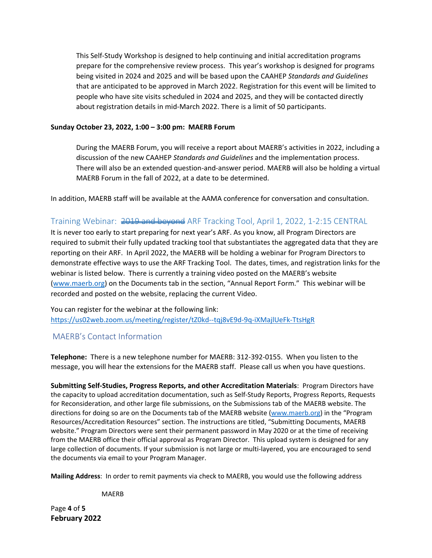This Self-Study Workshop is designed to help continuing and initial accreditation programs prepare for the comprehensive review process. This year's workshop is designed for programs being visited in 2024 and 2025 and will be based upon the CAAHEP *Standards and Guidelines* that are anticipated to be approved in March 2022. Registration for this event will be limited to people who have site visits scheduled in 2024 and 2025, and they will be contacted directly about registration details in mid-March 2022. There is a limit of 50 participants.

#### **Sunday October 23, 2022, 1:00 – 3:00 pm: MAERB Forum**

During the MAERB Forum, you will receive a report about MAERB's activities in 2022, including a discussion of the new CAAHEP *Standards and Guidelines* and the implementation process. There will also be an extended question-and-answer period. MAERB will also be holding a virtual MAERB Forum in the fall of 2022, at a date to be determined.

In addition, MAERB staff will be available at the AAMA conference for conversation and consultation.

#### <span id="page-3-0"></span>Training Webinar: 2019 and beyond ARF Tracking Tool, April 1, 2022, 1-2:15 CENTRAL

It is never too early to start preparing for next year's ARF. As you know, all Program Directors are required to submit their fully updated tracking tool that substantiates the aggregated data that they are reporting on their ARF. In April 2022, the MAERB will be holding a webinar for Program Directors to demonstrate effective ways to use the ARF Tracking Tool. The dates, times, and registration links for the webinar is listed below. There is currently a training video posted on the MAERB's website [\(www.maerb.org\)](http://www.maerb.org/) on the Documents tab in the section, "Annual Report Form." This webinar will be recorded and posted on the website, replacing the current Video.

You can register for the webinar at the following link: <https://us02web.zoom.us/meeting/register/tZ0kd--tqj8vE9d-9q-iXMajlUeFk-TtsHgR>

#### MAERB's Contact Information

**Telephone:** There is a new telephone number for MAERB: 312-392-0155. When you listen to the message, you will hear the extensions for the MAERB staff. Please call us when you have questions.

**Submitting Self-Studies, Progress Reports, and other Accreditation Materials**: Program Directors have the capacity to upload accreditation documentation, such as Self-Study Reports, Progress Reports, Requests for Reconsideration, and other large file submissions, on the Submissions tab of the MAERB website. The directions for doing so are on the Documents tab of the MAERB website [\(www.maerb.org\)](http://www.maerb.org/) in the "Program Resources/Accreditation Resources" section. The instructions are titled, "Submitting Documents, MAERB website." Program Directors were sent their permanent password in May 2020 or at the time of receiving from the MAERB office their official approval as Program Director. This upload system is designed for any large collection of documents. If your submission is not large or multi-layered, you are encouraged to send the documents via email to your Program Manager.

**Mailing Address**: In order to remit payments via check to MAERB, you would use the following address

MAERB

Page **4** of **5 February 2022**